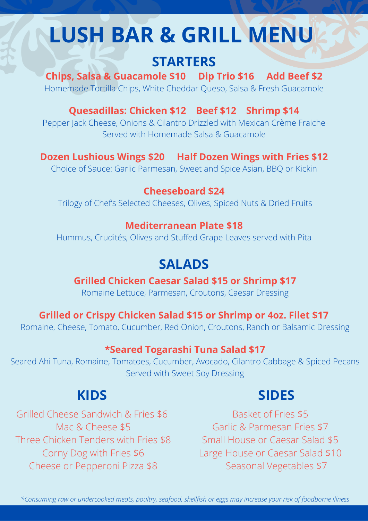# **LUSH BAR & GRILL MENU**

# **STARTERS**

**Chips, Salsa & Guacamole \$10 Dip Trio \$16 Add Beef \$2** Homemade Tortilla Chips, White Cheddar Queso, Salsa & Fresh Guacamole

**Quesadillas: Chicken \$12 Beef \$12 Shrimp \$14**

Pepper Jack Cheese, Onions & Cilantro Drizzled with Mexican Crème Fraiche Served with Homemade Salsa & Guacamole

# **Dozen Lushious Wings \$20 Half Dozen Wings with Fries \$12**

Choice of Sauce: Garlic Parmesan, Sweet and Spice Asian, BBQ or Kickin

### **Cheeseboard \$24**

Trilogy of Chef's Selected Cheeses, Olives, Spiced Nuts & Dried Fruits

#### **Mediterranean Plate \$18**

Hummus, Crudités, Olives and Stuffed Grape Leaves served with Pita

# **SALADS**

### **Grilled Chicken Caesar Salad \$15 or Shrimp \$17**

Romaine Lettuce, Parmesan, Croutons, Caesar Dressing

# **Grilled or Crispy Chicken Salad \$15 or Shrimp or 4oz. Filet \$17**

Romaine, Cheese, Tomato, Cucumber, Red Onion, Croutons, Ranch or Balsamic Dressing

#### **\*Seared Togarashi Tuna Salad \$17**

Seared Ahi Tuna, Romaine, Tomatoes, Cucumber, Avocado, Cilantro Cabbage & Spiced Pecans Served with Sweet Soy Dressing

# **KIDS**

### Grilled Cheese Sandwich & Fries \$6 Mac & Cheese \$5 Three Chicken Tenders with Fries \$8 Corny Dog with Fries \$6 Cheese or Pepperoni Pizza \$8

# **SIDES**

Basket of Fries \$5 Garlic & Parmesan Fries \$7 Small House or Caesar Salad \$5 Large House or Caesar Salad \$10 Seasonal Vegetables \$7

\*Consuming raw or undercooked meats, poultry, seafood, shellfish or eggs may increase your risk of foodborne illness